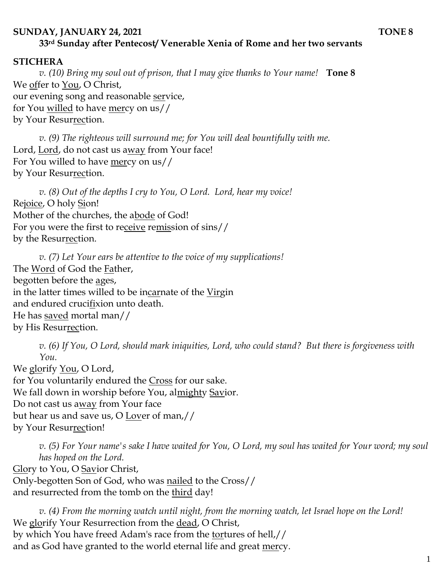## **SUNDAY, JANUARY 24, 2021 TONE 8 33rd Sunday after Pentecost/ Venerable Xenia of Rome and her two servants**

## **STICHERA**

*v. (10) Bring my soul out of prison, that I may give thanks to Your name!* **Tone 8** We offer to You, O Christ, our evening song and reasonable service, for You willed to have mercy on us// by Your Resurrection.

*v.* (9) The righteous will surround me; for You will deal bountifully with me. Lord, Lord, do not cast us away from Your face! For You willed to have mercy on us// by Your Resurrection.

*v. (8) Out of the depths I cry to You, O Lord. Lord, hear my voice!*  Rejoice, O holy Sion! Mother of the churches, the abode of God! For you were the first to receive remission of sins// by the Resurrection.

*v. (7) Let Your ears be attentive to the voice of my supplications!* The Word of God the Father, begotten before the ages, in the latter times willed to be incarnate of the Virgin and endured crucifixion unto death. He has saved mortal man// by His Resurrection.

*v. (6) If You, O Lord, should mark iniquities, Lord, who could stand? But there is forgiveness with You.* 

We glorify <u>You</u>, O Lord, for You voluntarily endured the Cross for our sake. We fall down in worship before You, almighty Savior. Do not cast us away from Your face but hear us and save us, O Lover of man,// by Your Resurrection!

*v. (5) For Your name's sake I have waited for You, O Lord, my soul has waited for Your word; my soul has hoped on the Lord.*  Glory to You, O Savior Christ, Only-begotten Son of God, who was nailed to the Cross// and resurrected from the tomb on the third day!

*v. (4) From the morning watch until night, from the morning watch, let Israel hope on the Lord!*  We glorify Your Resurrection from the dead, O Christ, by which You have freed Adam's race from the tortures of hell,// and as God have granted to the world eternal life and great mercy.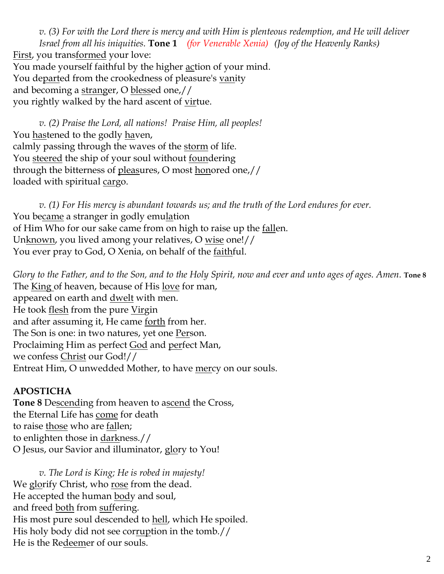*v. (3) For with the Lord there is mercy and with Him is plenteous redemption, and He will deliver Israel from all his iniquities.* **Tone 1** *(for Venerable Xenia) (Joy of the Heavenly Ranks)* First, you transformed your love: You made yourself faithful by the higher action of your mind. You departed from the crookedness of pleasure's vanity and becoming a stranger, O blessed one,// you rightly walked by the hard ascent of <u>vir</u>tue.

*v. (2) Praise the Lord, all nations! Praise Him, all peoples!* You hastened to the godly haven, calmly passing through the waves of the storm of life. You steered the ship of your soul without <u>foun</u>dering through the bitterness of pleasures, O most honored one,// loaded with spiritual cargo.

*v. (1) For His mercy is abundant towards us; and the truth of the Lord endures for ever.*  You became a stranger in godly emulation of Him Who for our sake came from on high to raise up the <u>fall</u>en. Unknown, you lived among your relatives, O wise one!// You ever pray to God, O Xenia, on behalf of the faithful.

*Glory to the Father, and to the Son, and to the Holy Spirit, now and ever and unto ages of ages. Amen.* **Tone 8** The King of heaven, because of His love for man, appeared on earth and <u>dwelt</u> with men. He took flesh from the pure Virgin and after assuming it, He came <u>forth</u> from her. The Son is one: in two natures, yet one Person. Proclaiming Him as perfect God and perfect Man, we confess Christ our God!// Entreat Him, O unwedded Mother, to have mercy on our souls.

## **APOSTICHA**

**Tone 8** Descending from heaven to ascend the Cross, the Eternal Life has come for death to raise those who are fallen; to enlighten those in darkness.// O Jesus, our Savior and illuminator, glory to You!

*v. The Lord is King; He is robed in majesty!*  We glorify Christ, who rose from the dead. He accepted the human body and soul, and freed both from suffering. His most pure soul descended to hell, which He spoiled. His holy body did not see corruption in the tomb.// He is the Redeemer of our souls.